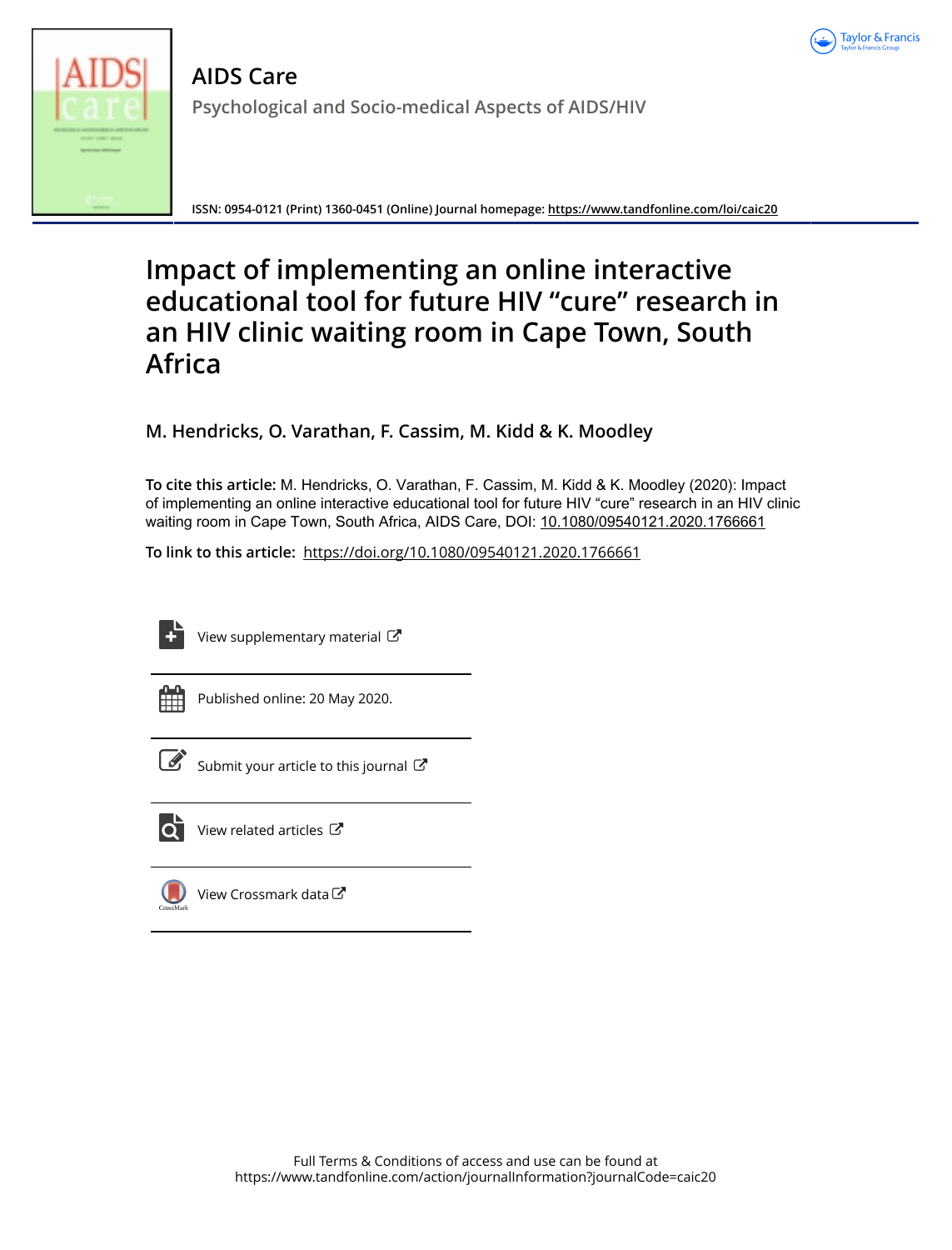



**AIDS Care Psychological and Socio-medical Aspects of AIDS/HIV**

**ISSN: 0954-0121 (Print) 1360-0451 (Online) Journal homepage:<https://www.tandfonline.com/loi/caic20>**

# **Impact of implementing an online interactive educational tool for future HIV "cure" research in an HIV clinic waiting room in Cape Town, South Africa**

**M. Hendricks, O. Varathan, F. Cassim, M. Kidd & K. Moodley**

**To cite this article:** M. Hendricks, O. Varathan, F. Cassim, M. Kidd & K. Moodley (2020): Impact of implementing an online interactive educational tool for future HIV "cure" research in an HIV clinic waiting room in Cape Town, South Africa, AIDS Care, DOI: [10.1080/09540121.2020.1766661](https://www.tandfonline.com/action/showCitFormats?doi=10.1080/09540121.2020.1766661)

**To link to this article:** <https://doi.org/10.1080/09540121.2020.1766661>



[View supplementary material](https://www.tandfonline.com/doi/suppl/10.1080/09540121.2020.1766661)  $\mathbb{Z}$ 



Published online: 20 May 2020.



[Submit your article to this journal](https://www.tandfonline.com/action/authorSubmission?journalCode=caic20&show=instructions)  $\mathbb{Z}$ 



 $\overrightarrow{O}$  [View related articles](https://www.tandfonline.com/doi/mlt/10.1080/09540121.2020.1766661)  $\overrightarrow{C}$ 

[View Crossmark data](http://crossmark.crossref.org/dialog/?doi=10.1080/09540121.2020.1766661&domain=pdf&date_stamp=2020-05-20)<sup>C</sup>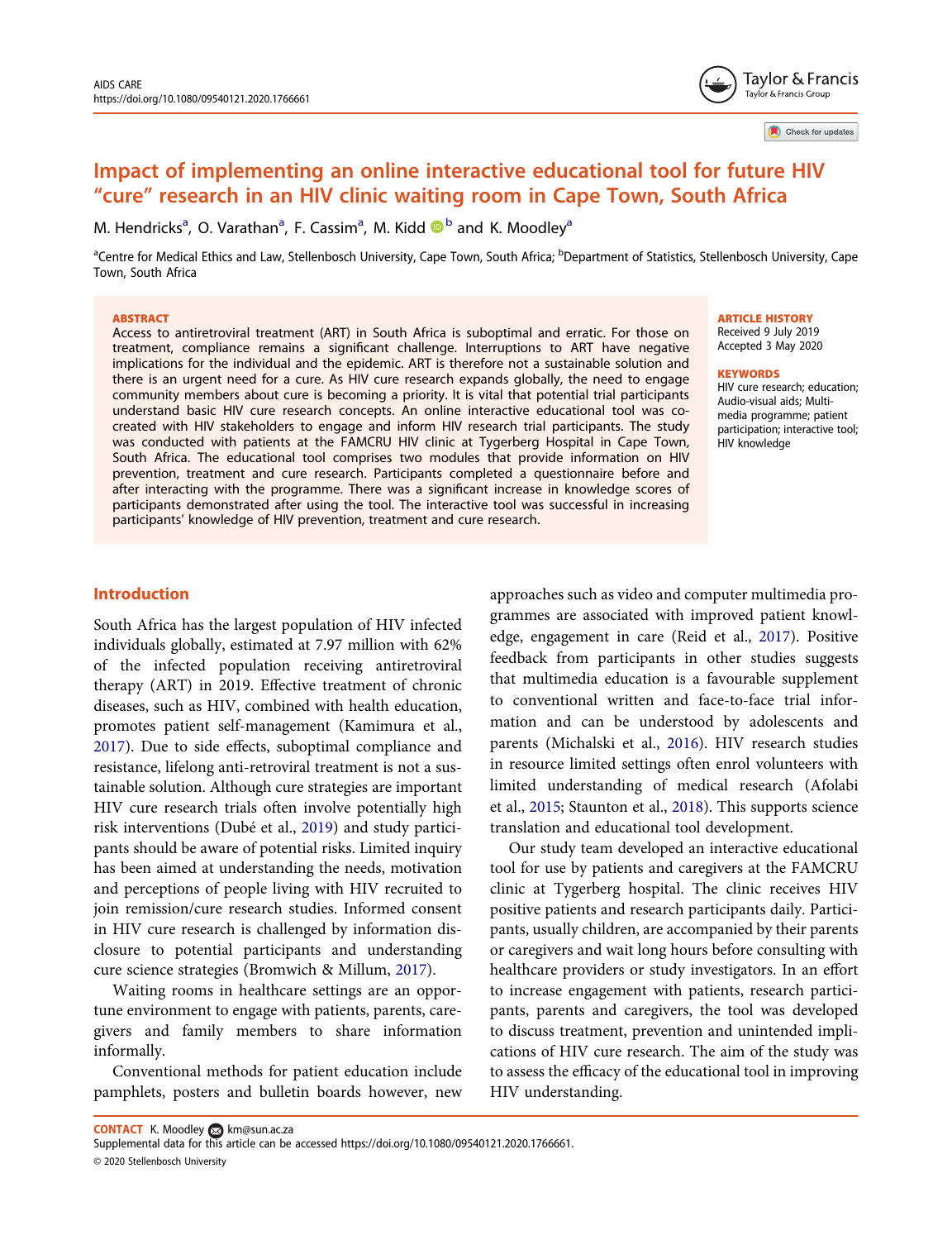Check for updates

## <span id="page-1-0"></span>Impact of implementing an online interactive educational tool for future HIV "cure" research in an HIV clinic waiting room in Cape Town, South Africa

### M. Hendricks<sup>a</sup>, O. Varathan<sup>a</sup>, F. Cassim<sup>a</sup>, M. Kidd <sup>b</sup> and K. Moodley<sup>a</sup>

<sup>a</sup>Centre for Medical Ethics and Law, Stellenbosch University, Cape Town, South Africa; <sup>b</sup>Department of Statistics, Stellenbosch University, Cape Town, South Africa

#### ABSTRACT

Access to antiretroviral treatment (ART) in South Africa is suboptimal and erratic. For those on treatment, compliance remains a significant challenge. Interruptions to ART have negative implications for the individual and the epidemic. ART is therefore not a sustainable solution and there is an urgent need for a cure. As HIV cure research expands globally, the need to engage community members about cure is becoming a priority. It is vital that potential trial participants understand basic HIV cure research concepts. An online interactive educational tool was cocreated with HIV stakeholders to engage and inform HIV research trial participants. The study was conducted with patients at the FAMCRU HIV clinic at Tygerberg Hospital in Cape Town, South Africa. The educational tool comprises two modules that provide information on HIV prevention, treatment and cure research. Participants completed a questionnaire before and after interacting with the programme. There was a significant increase in knowledge scores of participants demonstrated after using the tool. The interactive tool was successful in increasing participants' knowledge of HIV prevention, treatment and cure research.

#### ARTICLE HISTORY

Received 9 July 2019 Accepted 3 May 2020

#### **KEYWORDS**

HIV cure research; education; Audio-visual aids; Multimedia programme; patient participation; interactive tool; HIV knowledge

#### Introduction

South Africa has the largest population of HIV infected individuals globally, estimated at 7.97 million with 62% of the infected population receiving antiretroviral therapy (ART) in 2019. Effective treatment of chronic diseases, such as HIV, combined with health education, promotes patient self-management (Kamimura et al., [2017](#page-4-0)). Due to side effects, suboptimal compliance and resistance, lifelong anti-retroviral treatment is not a sustainable solution. Although cure strategies are important HIV cure research trials often involve potentially high risk interventions (Dubé et al., [2019](#page-4-0)) and study participants should be aware of potential risks. Limited inquiry has been aimed at understanding the needs, motivation and perceptions of people living with HIV recruited to join remission/cure research studies. Informed consent in HIV cure research is challenged by information disclosure to potential participants and understanding cure science strategies (Bromwich & Millum, [2017](#page-4-0)).

Waiting rooms in healthcare settings are an opportune environment to engage with patients, parents, caregivers and family members to share information informally.

Conventional methods for patient education include pamphlets, posters and bulletin boards however, new approaches such as video and computer multimedia programmes are associated with improved patient knowledge, engagement in care (Reid et al., [2017](#page-4-0)). Positive feedback from participants in other studies suggests that multimedia education is a favourable supplement to conventional written and face-to-face trial information and can be understood by adolescents and parents (Michalski et al., [2016](#page-4-0)). HIV research studies in resource limited settings often enrol volunteers with limited understanding of medical research (Afolabi et al., [2015;](#page-4-0) Staunton et al., [2018](#page-5-0)). This supports science translation and educational tool development.

Our study team developed an interactive educational tool for use by patients and caregivers at the FAMCRU clinic at Tygerberg hospital. The clinic receives HIV positive patients and research participants daily. Participants, usually children, are accompanied by their parents or caregivers and wait long hours before consulting with healthcare providers or study investigators. In an effort to increase engagement with patients, research participants, parents and caregivers, the tool was developed to discuss treatment, prevention and unintended implications of HIV cure research. The aim of the study was to assess the efficacy of the educational tool in improving HIV understanding.

CONTACT K. Moodley **is** [km@sun.ac.za](mailto:km@sun.ac.za) Supplemental data for this article can be accessed https://doi.org/10.1080/09540121.2020.1766661.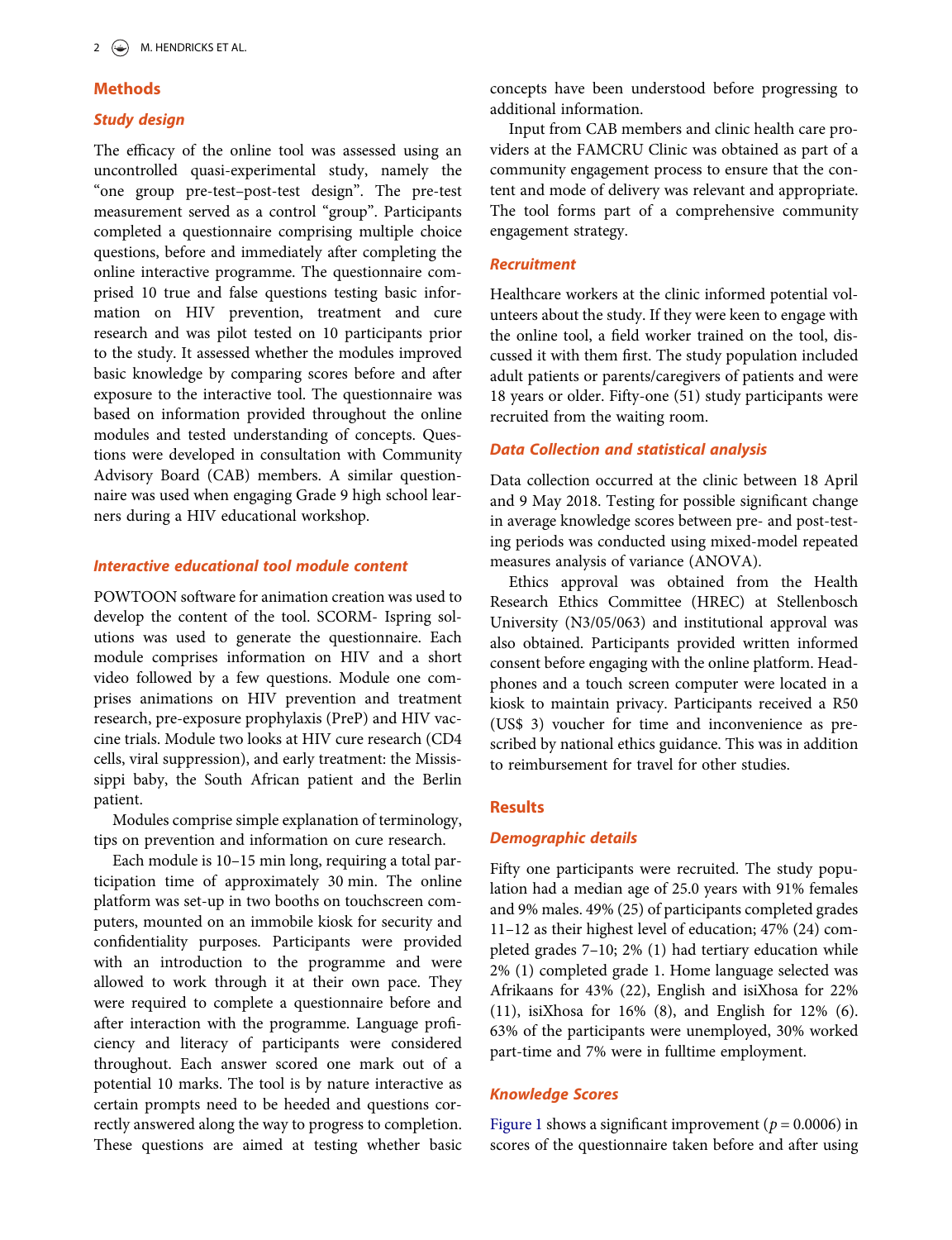#### **Methods**

#### Study design

The efficacy of the online tool was assessed using an uncontrolled quasi-experimental study, namely the "one group pre-test–post-test design". The pre-test measurement served as a control "group". Participants completed a questionnaire comprising multiple choice questions, before and immediately after completing the online interactive programme. The questionnaire comprised 10 true and false questions testing basic information on HIV prevention, treatment and cure research and was pilot tested on 10 participants prior to the study. It assessed whether the modules improved basic knowledge by comparing scores before and after exposure to the interactive tool. The questionnaire was based on information provided throughout the online modules and tested understanding of concepts. Questions were developed in consultation with Community Advisory Board (CAB) members. A similar questionnaire was used when engaging Grade 9 high school learners during a HIV educational workshop.

#### Interactive educational tool module content

POWTOON software for animation creation was used to develop the content of the tool. SCORM- Ispring solutions was used to generate the questionnaire. Each module comprises information on HIV and a short video followed by a few questions. Module one comprises animations on HIV prevention and treatment research, pre-exposure prophylaxis (PreP) and HIV vaccine trials. Module two looks at HIV cure research (CD4 cells, viral suppression), and early treatment: the Mississippi baby, the South African patient and the Berlin patient.

Modules comprise simple explanation of terminology, tips on prevention and information on cure research.

Each module is 10–15 min long, requiring a total participation time of approximately 30 min. The online platform was set-up in two booths on touchscreen computers, mounted on an immobile kiosk for security and confidentiality purposes. Participants were provided with an introduction to the programme and were allowed to work through it at their own pace. They were required to complete a questionnaire before and after interaction with the programme. Language proficiency and literacy of participants were considered throughout. Each answer scored one mark out of a potential 10 marks. The tool is by nature interactive as certain prompts need to be heeded and questions correctly answered along the way to progress to completion. These questions are aimed at testing whether basic concepts have been understood before progressing to additional information.

Input from CAB members and clinic health care providers at the FAMCRU Clinic was obtained as part of a community engagement process to ensure that the content and mode of delivery was relevant and appropriate. The tool forms part of a comprehensive community engagement strategy.

#### **Recruitment**

Healthcare workers at the clinic informed potential volunteers about the study. If they were keen to engage with the online tool, a field worker trained on the tool, discussed it with them first. The study population included adult patients or parents/caregivers of patients and were 18 years or older. Fifty-one (51) study participants were recruited from the waiting room.

#### Data Collection and statistical analysis

Data collection occurred at the clinic between 18 April and 9 May 2018. Testing for possible significant change in average knowledge scores between pre- and post-testing periods was conducted using mixed-model repeated measures analysis of variance (ANOVA).

Ethics approval was obtained from the Health Research Ethics Committee (HREC) at Stellenbosch University (N3/05/063) and institutional approval was also obtained. Participants provided written informed consent before engaging with the online platform. Headphones and a touch screen computer were located in a kiosk to maintain privacy. Participants received a R50 (US\$ 3) voucher for time and inconvenience as prescribed by national ethics guidance. This was in addition to reimbursement for travel for other studies.

#### Results

#### Demographic details

Fifty one participants were recruited. The study population had a median age of 25.0 years with 91% females and 9% males. 49% (25) of participants completed grades 11–12 as their highest level of education; 47% (24) completed grades 7–10; 2% (1) had tertiary education while 2% (1) completed grade 1. Home language selected was Afrikaans for 43% (22), English and isiXhosa for 22% (11), isiXhosa for 16% (8), and English for 12% (6). 63% of the participants were unemployed, 30% worked part-time and 7% were in fulltime employment.

#### Knowledge Scores

[Figure 1](#page-3-0) shows a significant improvement ( $p = 0.0006$ ) in scores of the questionnaire taken before and after using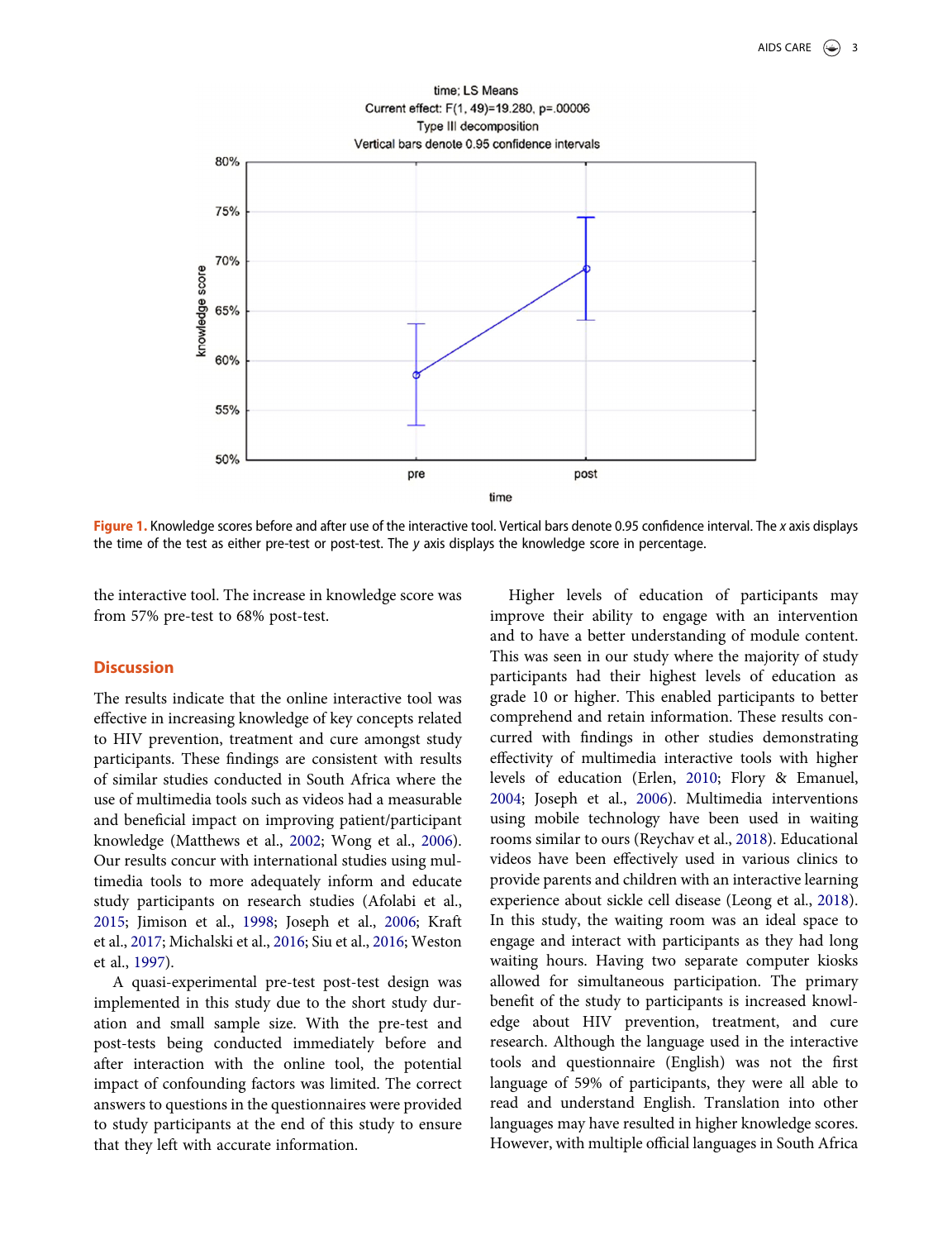time: LS Means Current effect: F(1, 49)=19.280, p=.00006 Type III decomposition Vertical bars denote 0.95 confidence intervals

<span id="page-3-0"></span>

Figure 1. Knowledge scores before and after use of the interactive tool. Vertical bars denote 0.95 confidence interval. The x axis displays the time of the test as either pre-test or post-test. The y axis displays the knowledge score in percentage.

the interactive tool. The increase in knowledge score was from 57% pre-test to 68% post-test.

#### **Discussion**

The results indicate that the online interactive tool was effective in increasing knowledge of key concepts related to HIV prevention, treatment and cure amongst study participants. These findings are consistent with results of similar studies conducted in South Africa where the use of multimedia tools such as videos had a measurable and beneficial impact on improving patient/participant knowledge (Matthews et al., [2002;](#page-4-0) Wong et al., [2006\)](#page-5-0). Our results concur with international studies using multimedia tools to more adequately inform and educate study participants on research studies (Afolabi et al., [2015](#page-4-0); Jimison et al., [1998](#page-4-0); Joseph et al., [2006](#page-4-0); Kraft et al., [2017;](#page-4-0) Michalski et al., [2016](#page-4-0); Siu et al., [2016;](#page-5-0) Weston et al., [1997\)](#page-5-0).

A quasi-experimental pre-test post-test design was implemented in this study due to the short study duration and small sample size. With the pre-test and post-tests being conducted immediately before and after interaction with the online tool, the potential impact of confounding factors was limited. The correct answers to questions in the questionnaires were provided to study participants at the end of this study to ensure that they left with accurate information.

Higher levels of education of participants may improve their ability to engage with an intervention and to have a better understanding of module content. This was seen in our study where the majority of study participants had their highest levels of education as grade 10 or higher. This enabled participants to better comprehend and retain information. These results concurred with findings in other studies demonstrating effectivity of multimedia interactive tools with higher levels of education (Erlen, [2010](#page-4-0); Flory & Emanuel, [2004;](#page-4-0) Joseph et al., [2006](#page-4-0)). Multimedia interventions using mobile technology have been used in waiting rooms similar to ours (Reychav et al., [2018](#page-4-0)). Educational videos have been effectively used in various clinics to provide parents and children with an interactive learning experience about sickle cell disease (Leong et al., [2018\)](#page-4-0). In this study, the waiting room was an ideal space to engage and interact with participants as they had long waiting hours. Having two separate computer kiosks allowed for simultaneous participation. The primary benefit of the study to participants is increased knowledge about HIV prevention, treatment, and cure research. Although the language used in the interactive tools and questionnaire (English) was not the first language of 59% of participants, they were all able to read and understand English. Translation into other languages may have resulted in higher knowledge scores. However, with multiple official languages in South Africa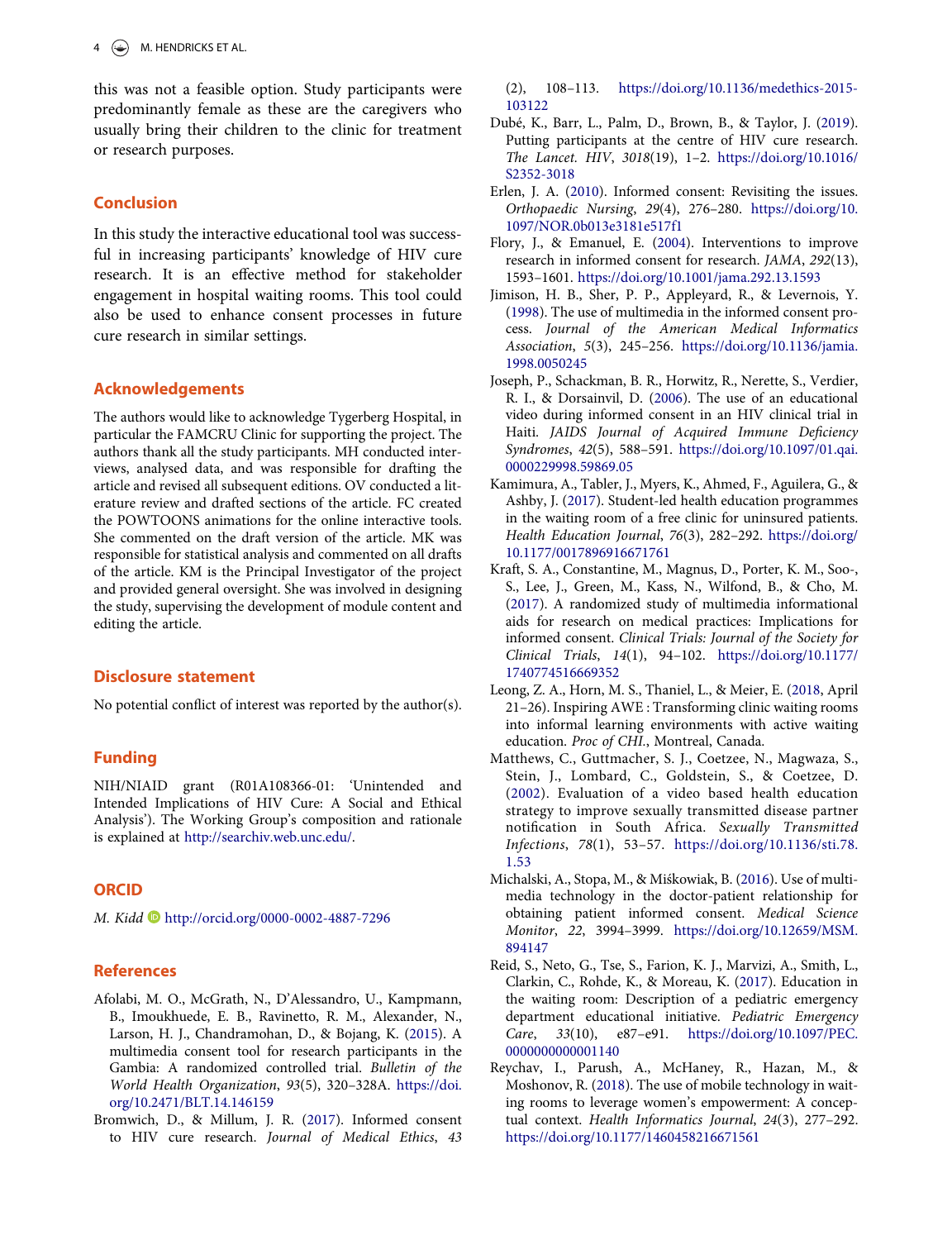<span id="page-4-0"></span>this was not a feasible option. Study participants were predominantly female as these are the caregivers who usually bring their children to the clinic for treatment or research purposes.

#### Conclusion

In this study the interactive educational tool was successful in increasing participants' knowledge of HIV cure research. It is an effective method for stakeholder engagement in hospital waiting rooms. This tool could also be used to enhance consent processes in future cure research in similar settings.

#### Acknowledgements

The authors would like to acknowledge Tygerberg Hospital, in particular the FAMCRU Clinic for supporting the project. The authors thank all the study participants. MH conducted interviews, analysed data, and was responsible for drafting the article and revised all subsequent editions. OV conducted a literature review and drafted sections of the article. FC created the POWTOONS animations for the online interactive tools. She commented on the draft version of the article. MK was responsible for statistical analysis and commented on all drafts of the article. KM is the Principal Investigator of the project and provided general oversight. She was involved in designing the study, supervising the development of module content and editing the article.

#### Disclosure statement

No potential conflict of interest was reported by the author(s).

#### Funding

NIH/NIAID grant (R01A108366-01: 'Unintended and Intended Implications of HIV Cure: A Social and Ethical Analysis'). The Working Group's composition and rationale is explained at <http://searchiv.web.unc.edu/>.

#### **ORCID**

M. Kidd <http://orcid.org/0000-0002-4887-7296>

#### **References**

- Afolabi, M. O., McGrath, N., D'Alessandro, U., Kampmann, B., Imoukhuede, E. B., Ravinetto, R. M., Alexander, N., Larson, H. J., Chandramohan, D., & Bojang, K. [\(2015](#page-1-0)). A multimedia consent tool for research participants in the Gambia: A randomized controlled trial. Bulletin of the World Health Organization, 93(5), 320–328A. [https://doi.](https://doi.org/10.2471/BLT.14.146159) [org/10.2471/BLT.14.146159](https://doi.org/10.2471/BLT.14.146159)
- Bromwich, D., & Millum, J. R. ([2017\)](#page-1-0). Informed consent to HIV cure research. Journal of Medical Ethics, 43

(2), 108–113. [https://doi.org/10.1136/medethics-2015-](https://doi.org/10.1136/medethics-2015-103122) [103122](https://doi.org/10.1136/medethics-2015-103122)

- Dubé, K., Barr, L., Palm, D., Brown, B., & Taylor, J. ([2019](#page-1-0)). Putting participants at the centre of HIV cure research. The Lancet. HIV, 3018(19), 1–2. [https://doi.org/10.1016/](https://doi.org/10.1016/S2352-3018(19)30031-1) [S2352-3018](https://doi.org/10.1016/S2352-3018(19)30031-1)
- Erlen, J. A. [\(2010](#page-3-0)). Informed consent: Revisiting the issues. Orthopaedic Nursing, 29(4), 276–280. [https://doi.org/10.](https://doi.org/10.1097/NOR.0b013e3181e517f1) [1097/NOR.0b013e3181e517f1](https://doi.org/10.1097/NOR.0b013e3181e517f1)
- Flory, J., & Emanuel, E. ([2004](#page-3-0)). Interventions to improve research in informed consent for research. JAMA, 292(13), 1593–1601. <https://doi.org/10.1001/jama.292.13.1593>
- Jimison, H. B., Sher, P. P., Appleyard, R., & Levernois, Y. ([1998](#page-3-0)). The use of multimedia in the informed consent process. Journal of the American Medical Informatics Association, 5(3), 245–256. [https://doi.org/10.1136/jamia.](https://doi.org/10.1136/jamia.1998.0050245) [1998.0050245](https://doi.org/10.1136/jamia.1998.0050245)
- Joseph, P., Schackman, B. R., Horwitz, R., Nerette, S., Verdier, R. I., & Dorsainvil, D. ([2006](#page-3-0)). The use of an educational video during informed consent in an HIV clinical trial in Haiti. JAIDS Journal of Acquired Immune Deficiency Syndromes, 42(5), 588–591. [https://doi.org/10.1097/01.qai.](https://doi.org/10.1097/01.qai.0000229998.59869.05) [0000229998.59869.05](https://doi.org/10.1097/01.qai.0000229998.59869.05)
- Kamimura, A., Tabler, J., Myers, K., Ahmed, F., Aguilera, G., & Ashby, J. [\(2017\)](#page-1-0). Student-led health education programmes in the waiting room of a free clinic for uninsured patients. Health Education Journal, 76(3), 282–292. [https://doi.org/](https://doi.org/10.1177/0017896916671761) [10.1177/0017896916671761](https://doi.org/10.1177/0017896916671761)
- Kraft, S. A., Constantine, M., Magnus, D., Porter, K. M., Soo-, S., Lee, J., Green, M., Kass, N., Wilfond, B., & Cho, M. ([2017](#page-3-0)). A randomized study of multimedia informational aids for research on medical practices: Implications for informed consent. Clinical Trials: Journal of the Society for Clinical Trials, 14(1), 94–102. [https://doi.org/10.1177/](https://doi.org/10.1177/1740774516669352) [1740774516669352](https://doi.org/10.1177/1740774516669352)
- Leong, Z. A., Horn, M. S., Thaniel, L., & Meier, E. ([2018](#page-3-0), April 21–26). Inspiring AWE : Transforming clinic waiting rooms into informal learning environments with active waiting education. Proc of CHI., Montreal, Canada.
- Matthews, C., Guttmacher, S. J., Coetzee, N., Magwaza, S., Stein, J., Lombard, C., Goldstein, S., & Coetzee, D. ([2002](#page-3-0)). Evaluation of a video based health education strategy to improve sexually transmitted disease partner notification in South Africa. Sexually Transmitted Infections, 78(1), 53–57. [https://doi.org/10.1136/sti.78.](https://doi.org/10.1136/sti.78.1.53) [1.53](https://doi.org/10.1136/sti.78.1.53)
- Michalski, A., Stopa, M., & Miśkowiak, B. [\(2016\)](#page-1-0). Use of multimedia technology in the doctor-patient relationship for obtaining patient informed consent. Medical Science Monitor, 22, 3994–3999. [https://doi.org/10.12659/MSM.](https://doi.org/10.12659/MSM.894147) [894147](https://doi.org/10.12659/MSM.894147)
- Reid, S., Neto, G., Tse, S., Farion, K. J., Marvizi, A., Smith, L., Clarkin, C., Rohde, K., & Moreau, K. [\(2017\)](#page-1-0). Education in the waiting room: Description of a pediatric emergency department educational initiative. Pediatric Emergency Care, 33(10), e87–e91. [https://doi.org/10.1097/PEC.](https://doi.org/10.1097/PEC.0000000000001140) [0000000000001140](https://doi.org/10.1097/PEC.0000000000001140)
- Reychav, I., Parush, A., McHaney, R., Hazan, M., & Moshonov, R. ([2018](#page-3-0)). The use of mobile technology in waiting rooms to leverage women's empowerment: A conceptual context. Health Informatics Journal, 24(3), 277–292. <https://doi.org/10.1177/1460458216671561>